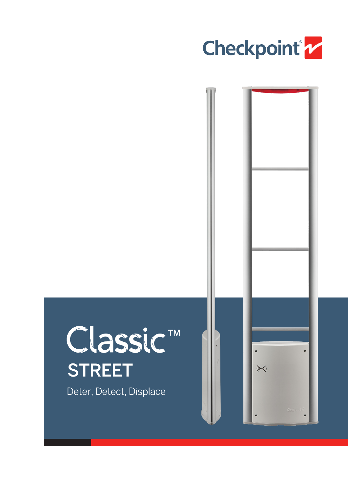